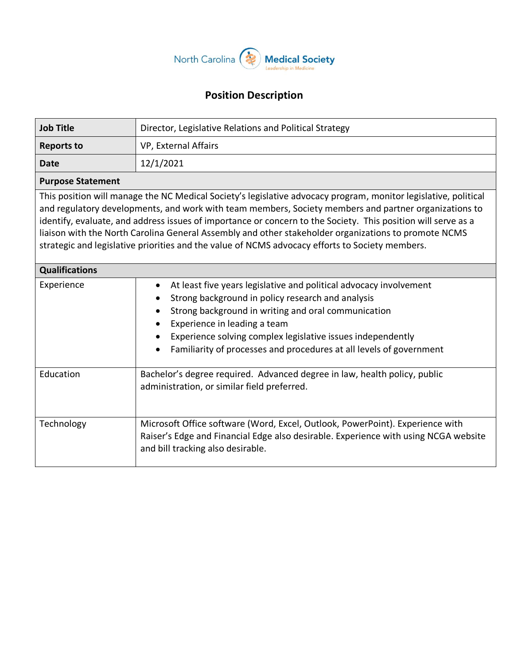

## **Position Description**

| <b>Job Title</b>                                                                                                                                                                                                                                                                                                                                                                                                                                                                                                                                     | Director, Legislative Relations and Political Strategy                                                                                                                                                                                                                                                                                               |  |
|------------------------------------------------------------------------------------------------------------------------------------------------------------------------------------------------------------------------------------------------------------------------------------------------------------------------------------------------------------------------------------------------------------------------------------------------------------------------------------------------------------------------------------------------------|------------------------------------------------------------------------------------------------------------------------------------------------------------------------------------------------------------------------------------------------------------------------------------------------------------------------------------------------------|--|
| <b>Reports to</b>                                                                                                                                                                                                                                                                                                                                                                                                                                                                                                                                    | VP, External Affairs                                                                                                                                                                                                                                                                                                                                 |  |
| <b>Date</b>                                                                                                                                                                                                                                                                                                                                                                                                                                                                                                                                          | 12/1/2021                                                                                                                                                                                                                                                                                                                                            |  |
| <b>Purpose Statement</b>                                                                                                                                                                                                                                                                                                                                                                                                                                                                                                                             |                                                                                                                                                                                                                                                                                                                                                      |  |
| This position will manage the NC Medical Society's legislative advocacy program, monitor legislative, political<br>and regulatory developments, and work with team members, Society members and partner organizations to<br>identify, evaluate, and address issues of importance or concern to the Society. This position will serve as a<br>liaison with the North Carolina General Assembly and other stakeholder organizations to promote NCMS<br>strategic and legislative priorities and the value of NCMS advocacy efforts to Society members. |                                                                                                                                                                                                                                                                                                                                                      |  |
| <b>Qualifications</b>                                                                                                                                                                                                                                                                                                                                                                                                                                                                                                                                |                                                                                                                                                                                                                                                                                                                                                      |  |
| Experience                                                                                                                                                                                                                                                                                                                                                                                                                                                                                                                                           | At least five years legislative and political advocacy involvement<br>Strong background in policy research and analysis<br>Strong background in writing and oral communication<br>Experience in leading a team<br>Experience solving complex legislative issues independently<br>Familiarity of processes and procedures at all levels of government |  |
| Education                                                                                                                                                                                                                                                                                                                                                                                                                                                                                                                                            | Bachelor's degree required. Advanced degree in law, health policy, public<br>administration, or similar field preferred.                                                                                                                                                                                                                             |  |
| Technology                                                                                                                                                                                                                                                                                                                                                                                                                                                                                                                                           | Microsoft Office software (Word, Excel, Outlook, PowerPoint). Experience with<br>Raiser's Edge and Financial Edge also desirable. Experience with using NCGA website<br>and bill tracking also desirable.                                                                                                                                            |  |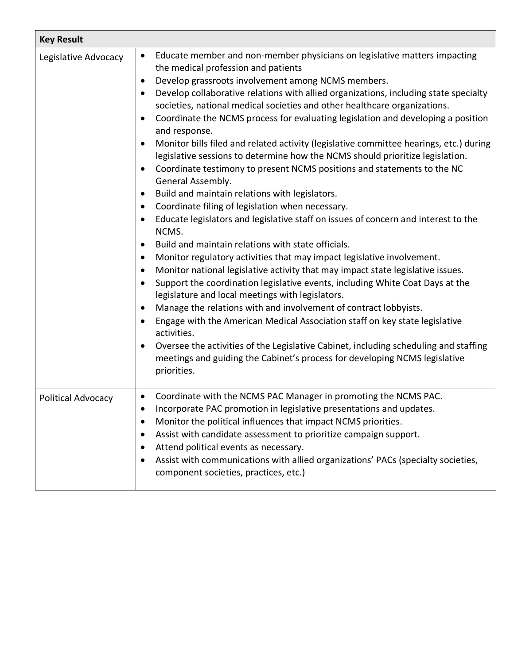| <b>Key Result</b>    |                                                                                                                                                                                                                                                                                                                                                                                                                                                                                                                                                                                                                                                                                                                                                                                                                                                                                                                                                                                                                                                                                                                                                                                                                                                                                                                                                                                                                                                                                                                                                                                                                                                                                                                                                                                                                                                                 |
|----------------------|-----------------------------------------------------------------------------------------------------------------------------------------------------------------------------------------------------------------------------------------------------------------------------------------------------------------------------------------------------------------------------------------------------------------------------------------------------------------------------------------------------------------------------------------------------------------------------------------------------------------------------------------------------------------------------------------------------------------------------------------------------------------------------------------------------------------------------------------------------------------------------------------------------------------------------------------------------------------------------------------------------------------------------------------------------------------------------------------------------------------------------------------------------------------------------------------------------------------------------------------------------------------------------------------------------------------------------------------------------------------------------------------------------------------------------------------------------------------------------------------------------------------------------------------------------------------------------------------------------------------------------------------------------------------------------------------------------------------------------------------------------------------------------------------------------------------------------------------------------------------|
| Legislative Advocacy | Educate member and non-member physicians on legislative matters impacting<br>$\bullet$<br>the medical profession and patients<br>Develop grassroots involvement among NCMS members.<br>$\bullet$<br>Develop collaborative relations with allied organizations, including state specialty<br>$\bullet$<br>societies, national medical societies and other healthcare organizations.<br>Coordinate the NCMS process for evaluating legislation and developing a position<br>$\bullet$<br>and response.<br>Monitor bills filed and related activity (legislative committee hearings, etc.) during<br>$\bullet$<br>legislative sessions to determine how the NCMS should prioritize legislation.<br>Coordinate testimony to present NCMS positions and statements to the NC<br>$\bullet$<br>General Assembly.<br>Build and maintain relations with legislators.<br>$\bullet$<br>Coordinate filing of legislation when necessary.<br>$\bullet$<br>Educate legislators and legislative staff on issues of concern and interest to the<br>$\bullet$<br>NCMS.<br>Build and maintain relations with state officials.<br>$\bullet$<br>Monitor regulatory activities that may impact legislative involvement.<br>$\bullet$<br>Monitor national legislative activity that may impact state legislative issues.<br>$\bullet$<br>Support the coordination legislative events, including White Coat Days at the<br>$\bullet$<br>legislature and local meetings with legislators.<br>Manage the relations with and involvement of contract lobbyists.<br>$\bullet$<br>Engage with the American Medical Association staff on key state legislative<br>$\bullet$<br>activities.<br>Oversee the activities of the Legislative Cabinet, including scheduling and staffing<br>$\bullet$<br>meetings and guiding the Cabinet's process for developing NCMS legislative<br>priorities. |
| Political Advocacy   | Coordinate with the NCMS PAC Manager in promoting the NCMS PAC.<br>$\bullet$<br>Incorporate PAC promotion in legislative presentations and updates.<br>Monitor the political influences that impact NCMS priorities.<br>$\bullet$<br>Assist with candidate assessment to prioritize campaign support.<br>$\bullet$<br>Attend political events as necessary.<br>$\bullet$<br>Assist with communications with allied organizations' PACs (specialty societies,<br>$\bullet$<br>component societies, practices, etc.)                                                                                                                                                                                                                                                                                                                                                                                                                                                                                                                                                                                                                                                                                                                                                                                                                                                                                                                                                                                                                                                                                                                                                                                                                                                                                                                                              |